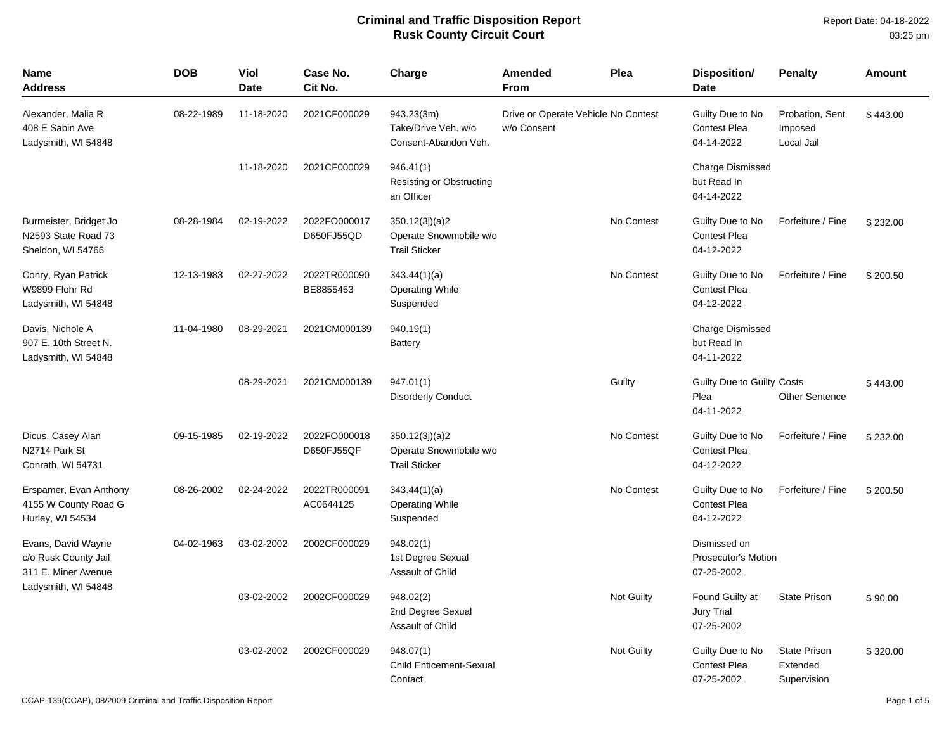| <b>Name</b><br><b>Address</b>                                      | <b>DOB</b> | Viol<br><b>Date</b> | Case No.<br>Cit No.        | Charge                                                           | Amended<br><b>From</b>                             | Plea              | Disposition/<br><b>Date</b>                              | <b>Penalty</b>                                 | <b>Amount</b> |
|--------------------------------------------------------------------|------------|---------------------|----------------------------|------------------------------------------------------------------|----------------------------------------------------|-------------------|----------------------------------------------------------|------------------------------------------------|---------------|
| Alexander, Malia R<br>408 E Sabin Ave<br>Ladysmith, WI 54848       | 08-22-1989 | 11-18-2020          | 2021CF000029               | 943.23(3m)<br>Take/Drive Veh. w/o<br>Consent-Abandon Veh.        | Drive or Operate Vehicle No Contest<br>w/o Consent |                   | Guilty Due to No<br><b>Contest Plea</b><br>04-14-2022    | Probation, Sent<br>Imposed<br>Local Jail       | \$443.00      |
|                                                                    |            | 11-18-2020          | 2021CF000029               | 946.41(1)<br>Resisting or Obstructing<br>an Officer              |                                                    |                   | <b>Charge Dismissed</b><br>but Read In<br>04-14-2022     |                                                |               |
| Burmeister, Bridget Jo<br>N2593 State Road 73<br>Sheldon, WI 54766 | 08-28-1984 | 02-19-2022          | 2022FO000017<br>D650FJ55QD | 350.12(3j)(a)2<br>Operate Snowmobile w/o<br><b>Trail Sticker</b> |                                                    | No Contest        | Guilty Due to No<br><b>Contest Plea</b><br>04-12-2022    | Forfeiture / Fine                              | \$232.00      |
| Conry, Ryan Patrick<br>W9899 Flohr Rd<br>Ladysmith, WI 54848       | 12-13-1983 | 02-27-2022          | 2022TR000090<br>BE8855453  | 343.44(1)(a)<br><b>Operating While</b><br>Suspended              |                                                    | No Contest        | Guilty Due to No<br><b>Contest Plea</b><br>04-12-2022    | Forfeiture / Fine                              | \$200.50      |
| Davis, Nichole A<br>907 E. 10th Street N.<br>Ladysmith, WI 54848   | 11-04-1980 | 08-29-2021          | 2021CM000139               | 940.19(1)<br><b>Battery</b>                                      |                                                    |                   | <b>Charge Dismissed</b><br>but Read In<br>04-11-2022     |                                                |               |
|                                                                    |            | 08-29-2021          | 2021CM000139               | 947.01(1)<br><b>Disorderly Conduct</b>                           |                                                    | Guilty            | Guilty Due to Guilty Costs<br>Plea<br>04-11-2022         | <b>Other Sentence</b>                          | \$443.00      |
| Dicus, Casey Alan<br>N2714 Park St<br>Conrath, WI 54731            | 09-15-1985 | 02-19-2022          | 2022FO000018<br>D650FJ55QF | 350.12(3j)(a)2<br>Operate Snowmobile w/o<br><b>Trail Sticker</b> |                                                    | No Contest        | Guilty Due to No<br><b>Contest Plea</b><br>04-12-2022    | Forfeiture / Fine                              | \$232.00      |
| Erspamer, Evan Anthony<br>4155 W County Road G<br>Hurley, WI 54534 | 08-26-2002 | 02-24-2022          | 2022TR000091<br>AC0644125  | 343.44(1)(a)<br><b>Operating While</b><br>Suspended              |                                                    | No Contest        | Guilty Due to No<br><b>Contest Plea</b><br>04-12-2022    | Forfeiture / Fine                              | \$200.50      |
| Evans, David Wayne<br>c/o Rusk County Jail<br>311 E. Miner Avenue  | 04-02-1963 | 03-02-2002          | 2002CF000029               | 948.02(1)<br>1st Degree Sexual<br>Assault of Child               |                                                    |                   | Dismissed on<br><b>Prosecutor's Motion</b><br>07-25-2002 |                                                |               |
| Ladysmith, WI 54848                                                |            | 03-02-2002          | 2002CF000029               | 948.02(2)<br>2nd Degree Sexual<br>Assault of Child               |                                                    | Not Guilty        | Found Guilty at<br><b>Jury Trial</b><br>07-25-2002       | <b>State Prison</b>                            | \$90.00       |
|                                                                    |            | 03-02-2002          | 2002CF000029               | 948.07(1)<br><b>Child Enticement-Sexual</b><br>Contact           |                                                    | <b>Not Guilty</b> | Guilty Due to No<br><b>Contest Plea</b><br>07-25-2002    | <b>State Prison</b><br>Extended<br>Supervision | \$320.00      |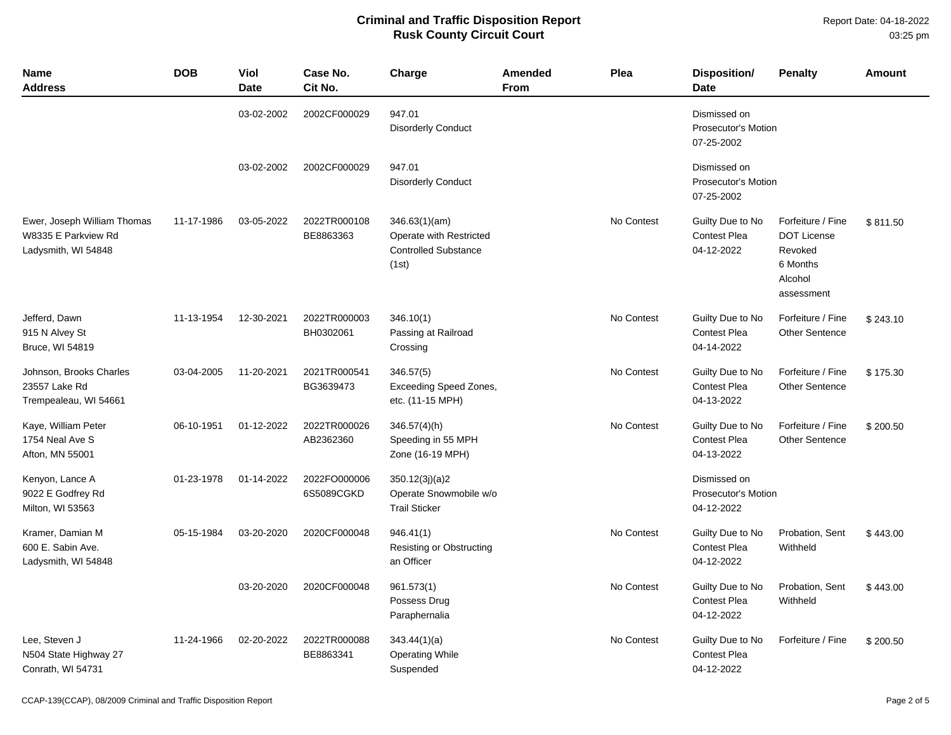Report Date: 04-18-2022 03:25 pm

| <b>Name</b><br>Address                                                    | <b>DOB</b> | Viol<br><b>Date</b> | Case No.<br>Cit No.        | Charge                                                                           | Amended<br><b>From</b> | Plea       | <b>Disposition/</b><br><b>Date</b>                    | <b>Penalty</b>                                                                          | Amount   |
|---------------------------------------------------------------------------|------------|---------------------|----------------------------|----------------------------------------------------------------------------------|------------------------|------------|-------------------------------------------------------|-----------------------------------------------------------------------------------------|----------|
|                                                                           |            | 03-02-2002          | 2002CF000029               | 947.01<br><b>Disorderly Conduct</b>                                              |                        |            | Dismissed on<br>Prosecutor's Motion<br>07-25-2002     |                                                                                         |          |
|                                                                           |            | 03-02-2002          | 2002CF000029               | 947.01<br><b>Disorderly Conduct</b>                                              |                        |            | Dismissed on<br>Prosecutor's Motion<br>07-25-2002     |                                                                                         |          |
| Ewer, Joseph William Thomas<br>W8335 E Parkview Rd<br>Ladysmith, WI 54848 | 11-17-1986 | 03-05-2022          | 2022TR000108<br>BE8863363  | 346.63(1)(am)<br>Operate with Restricted<br><b>Controlled Substance</b><br>(1st) |                        | No Contest | Guilty Due to No<br><b>Contest Plea</b><br>04-12-2022 | Forfeiture / Fine<br><b>DOT License</b><br>Revoked<br>6 Months<br>Alcohol<br>assessment | \$811.50 |
| Jefferd, Dawn<br>915 N Alvey St<br>Bruce, WI 54819                        | 11-13-1954 | 12-30-2021          | 2022TR000003<br>BH0302061  | 346.10(1)<br>Passing at Railroad<br>Crossing                                     |                        | No Contest | Guilty Due to No<br><b>Contest Plea</b><br>04-14-2022 | Forfeiture / Fine<br><b>Other Sentence</b>                                              | \$243.10 |
| Johnson, Brooks Charles<br>23557 Lake Rd<br>Trempealeau, WI 54661         | 03-04-2005 | 11-20-2021          | 2021TR000541<br>BG3639473  | 346.57(5)<br><b>Exceeding Speed Zones,</b><br>etc. (11-15 MPH)                   |                        | No Contest | Guilty Due to No<br><b>Contest Plea</b><br>04-13-2022 | Forfeiture / Fine<br><b>Other Sentence</b>                                              | \$175.30 |
| Kaye, William Peter<br>1754 Neal Ave S<br>Afton, MN 55001                 | 06-10-1951 | 01-12-2022          | 2022TR000026<br>AB2362360  | 346.57(4)(h)<br>Speeding in 55 MPH<br>Zone (16-19 MPH)                           |                        | No Contest | Guilty Due to No<br><b>Contest Plea</b><br>04-13-2022 | Forfeiture / Fine<br><b>Other Sentence</b>                                              | \$200.50 |
| Kenyon, Lance A<br>9022 E Godfrey Rd<br>Milton, WI 53563                  | 01-23-1978 | 01-14-2022          | 2022FO000006<br>6S5089CGKD | 350.12(3j)(a)2<br>Operate Snowmobile w/o<br><b>Trail Sticker</b>                 |                        |            | Dismissed on<br>Prosecutor's Motion<br>04-12-2022     |                                                                                         |          |
| Kramer, Damian M<br>600 E. Sabin Ave.<br>Ladysmith, WI 54848              | 05-15-1984 | 03-20-2020          | 2020CF000048               | 946.41(1)<br>Resisting or Obstructing<br>an Officer                              |                        | No Contest | Guilty Due to No<br><b>Contest Plea</b><br>04-12-2022 | Probation, Sent<br>Withheld                                                             | \$443.00 |
|                                                                           |            | 03-20-2020          | 2020CF000048               | 961.573(1)<br>Possess Drug<br>Paraphernalia                                      |                        | No Contest | Guilty Due to No<br><b>Contest Plea</b><br>04-12-2022 | Probation, Sent<br>Withheld                                                             | \$443.00 |
| Lee, Steven J<br>N504 State Highway 27<br>Conrath, WI 54731               | 11-24-1966 | 02-20-2022          | 2022TR000088<br>BE8863341  | 343.44(1)(a)<br><b>Operating While</b><br>Suspended                              |                        | No Contest | Guilty Due to No<br><b>Contest Plea</b><br>04-12-2022 | Forfeiture / Fine                                                                       | \$200.50 |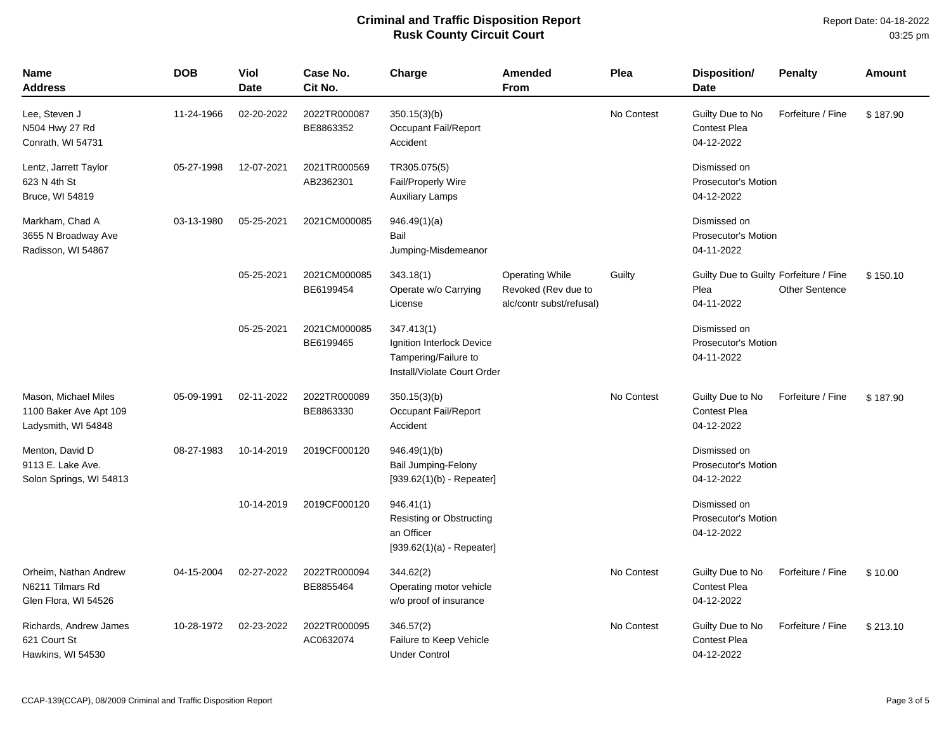| <b>Name</b><br><b>Address</b>                                         | <b>DOB</b> | Viol<br><b>Date</b> | Case No.<br>Cit No.       | Charge                                                                                         | Amended<br><b>From</b>                                                    | Plea       | <b>Disposition/</b><br><b>Date</b>                           | <b>Penalty</b>        | Amount   |
|-----------------------------------------------------------------------|------------|---------------------|---------------------------|------------------------------------------------------------------------------------------------|---------------------------------------------------------------------------|------------|--------------------------------------------------------------|-----------------------|----------|
| Lee, Steven J<br>N504 Hwy 27 Rd<br>Conrath, WI 54731                  | 11-24-1966 | 02-20-2022          | 2022TR000087<br>BE8863352 | 350.15(3)(b)<br>Occupant Fail/Report<br>Accident                                               |                                                                           | No Contest | Guilty Due to No<br><b>Contest Plea</b><br>04-12-2022        | Forfeiture / Fine     | \$187.90 |
| Lentz, Jarrett Taylor<br>623 N 4th St<br>Bruce, WI 54819              | 05-27-1998 | 12-07-2021          | 2021TR000569<br>AB2362301 | TR305.075(5)<br><b>Fail/Properly Wire</b><br><b>Auxiliary Lamps</b>                            | Dismissed on<br><b>Prosecutor's Motion</b><br>04-12-2022                  |            |                                                              |                       |          |
| Markham, Chad A<br>3655 N Broadway Ave<br>Radisson, WI 54867          | 03-13-1980 | 05-25-2021          | 2021CM000085              | 946.49(1)(a)<br>Bail<br>Jumping-Misdemeanor                                                    |                                                                           |            | Dismissed on<br><b>Prosecutor's Motion</b><br>04-11-2022     |                       |          |
|                                                                       |            | 05-25-2021          | 2021CM000085<br>BE6199454 | 343.18(1)<br>Operate w/o Carrying<br>License                                                   | <b>Operating While</b><br>Revoked (Rev due to<br>alc/contr subst/refusal) | Guilty     | Guilty Due to Guilty Forfeiture / Fine<br>Plea<br>04-11-2022 | <b>Other Sentence</b> | \$150.10 |
|                                                                       |            | 05-25-2021          | 2021CM000085<br>BE6199465 | 347.413(1)<br>Ignition Interlock Device<br>Tampering/Failure to<br>Install/Violate Court Order |                                                                           |            | Dismissed on<br><b>Prosecutor's Motion</b><br>04-11-2022     |                       |          |
| Mason, Michael Miles<br>1100 Baker Ave Apt 109<br>Ladysmith, WI 54848 | 05-09-1991 | 02-11-2022          | 2022TR000089<br>BE8863330 | 350.15(3)(b)<br>Occupant Fail/Report<br>Accident                                               |                                                                           | No Contest | Guilty Due to No<br><b>Contest Plea</b><br>04-12-2022        | Forfeiture / Fine     | \$187.90 |
| Menton, David D<br>9113 E. Lake Ave.<br>Solon Springs, WI 54813       | 08-27-1983 | 10-14-2019          | 2019CF000120              | 946.49(1)(b)<br>Bail Jumping-Felony<br>$[939.62(1)(b) - Repeated]$                             |                                                                           |            | Dismissed on<br><b>Prosecutor's Motion</b><br>04-12-2022     |                       |          |
|                                                                       |            | 10-14-2019          | 2019CF000120              | 946.41(1)<br><b>Resisting or Obstructing</b><br>an Officer<br>$[939.62(1)(a) - Repeater]$      |                                                                           |            | Dismissed on<br><b>Prosecutor's Motion</b><br>04-12-2022     |                       |          |
| Orheim, Nathan Andrew<br>N6211 Tilmars Rd<br>Glen Flora, WI 54526     | 04-15-2004 | 02-27-2022          | 2022TR000094<br>BE8855464 | 344.62(2)<br>Operating motor vehicle<br>w/o proof of insurance                                 |                                                                           | No Contest | Guilty Due to No<br>Contest Plea<br>04-12-2022               | Forfeiture / Fine     | \$10.00  |
| Richards, Andrew James<br>621 Court St<br>Hawkins, WI 54530           | 10-28-1972 | 02-23-2022          | 2022TR000095<br>AC0632074 | 346.57(2)<br>Failure to Keep Vehicle<br><b>Under Control</b>                                   |                                                                           | No Contest | Guilty Due to No<br><b>Contest Plea</b><br>04-12-2022        | Forfeiture / Fine     | \$213.10 |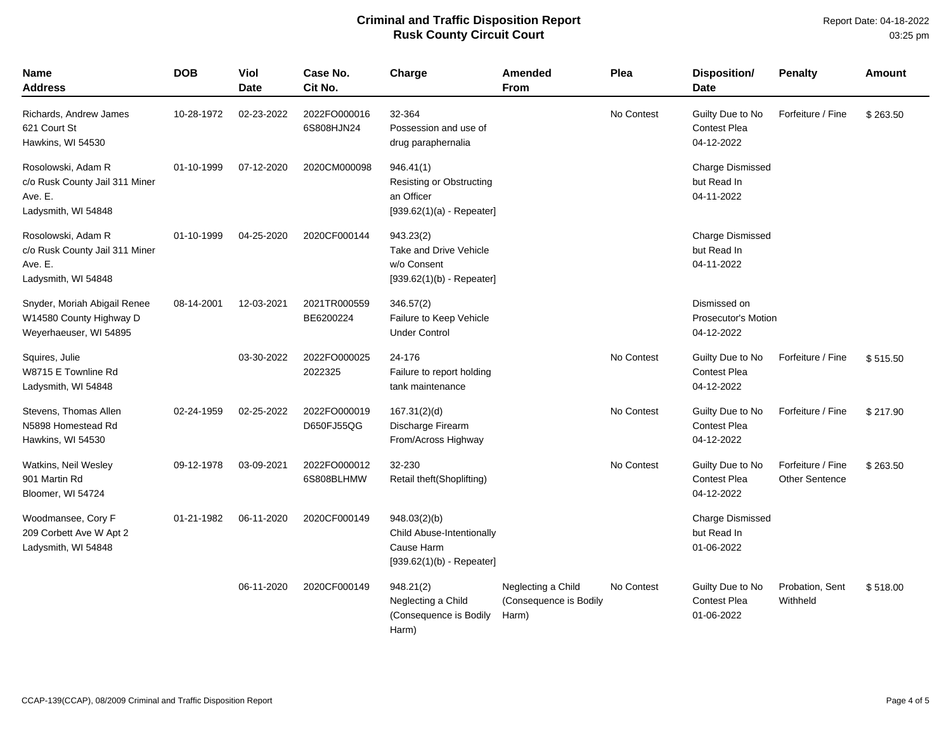| Name<br>Address                                                                        | <b>DOB</b> | Viol<br><b>Date</b> | Case No.<br>Cit No.        | Charge                                                                                    | <b>Amended</b><br><b>From</b>                         | Plea       | <b>Disposition/</b><br><b>Date</b>                       | <b>Penalty</b>                             | <b>Amount</b> |
|----------------------------------------------------------------------------------------|------------|---------------------|----------------------------|-------------------------------------------------------------------------------------------|-------------------------------------------------------|------------|----------------------------------------------------------|--------------------------------------------|---------------|
| Richards, Andrew James<br>621 Court St<br>Hawkins, WI 54530                            | 10-28-1972 | 02-23-2022          | 2022FO000016<br>6S808HJN24 | 32-364<br>Possession and use of<br>drug paraphernalia                                     |                                                       | No Contest | Guilty Due to No<br><b>Contest Plea</b><br>04-12-2022    | Forfeiture / Fine                          | \$263.50      |
| Rosolowski, Adam R<br>c/o Rusk County Jail 311 Miner<br>Ave. E.<br>Ladysmith, WI 54848 | 01-10-1999 | 07-12-2020          | 2020CM000098               | 946.41(1)<br><b>Resisting or Obstructing</b><br>an Officer<br>$[939.62(1)(a) - Repeated]$ |                                                       |            | Charge Dismissed<br>but Read In<br>04-11-2022            |                                            |               |
| Rosolowski, Adam R<br>c/o Rusk County Jail 311 Miner<br>Ave. E.<br>Ladysmith, WI 54848 | 01-10-1999 | 04-25-2020          | 2020CF000144               | 943.23(2)<br>Take and Drive Vehicle<br>w/o Consent<br>$[939.62(1)(b) - Repeated]$         |                                                       |            | Charge Dismissed<br>but Read In<br>04-11-2022            |                                            |               |
| Snyder, Moriah Abigail Renee<br>W14580 County Highway D<br>Weyerhaeuser, WI 54895      | 08-14-2001 | 12-03-2021          | 2021TR000559<br>BE6200224  | 346.57(2)<br>Failure to Keep Vehicle<br><b>Under Control</b>                              |                                                       |            | Dismissed on<br><b>Prosecutor's Motion</b><br>04-12-2022 |                                            |               |
| Squires, Julie<br>W8715 E Townline Rd<br>Ladysmith, WI 54848                           |            | 03-30-2022          | 2022FO000025<br>2022325    | 24-176<br>Failure to report holding<br>tank maintenance                                   |                                                       | No Contest | Guilty Due to No<br>Contest Plea<br>04-12-2022           | Forfeiture / Fine                          | \$515.50      |
| Stevens, Thomas Allen<br>N5898 Homestead Rd<br>Hawkins, WI 54530                       | 02-24-1959 | 02-25-2022          | 2022FO000019<br>D650FJ55QG | 167.31(2)(d)<br>Discharge Firearm<br>From/Across Highway                                  |                                                       | No Contest | Guilty Due to No<br><b>Contest Plea</b><br>04-12-2022    | Forfeiture / Fine                          | \$217.90      |
| Watkins, Neil Wesley<br>901 Martin Rd<br>Bloomer, WI 54724                             | 09-12-1978 | 03-09-2021          | 2022FO000012<br>6S808BLHMW | 32-230<br>Retail theft(Shoplifting)                                                       |                                                       | No Contest | Guilty Due to No<br><b>Contest Plea</b><br>04-12-2022    | Forfeiture / Fine<br><b>Other Sentence</b> | \$263.50      |
| Woodmansee, Cory F<br>209 Corbett Ave W Apt 2<br>Ladysmith, WI 54848                   | 01-21-1982 | 06-11-2020          | 2020CF000149               | 948.03(2)(b)<br>Child Abuse-Intentionally<br>Cause Harm<br>$[939.62(1)(b) - Repeated]$    |                                                       |            | <b>Charge Dismissed</b><br>but Read In<br>01-06-2022     |                                            |               |
|                                                                                        |            | 06-11-2020          | 2020CF000149               | 948.21(2)<br>Neglecting a Child<br>(Consequence is Bodily<br>Harm)                        | Neglecting a Child<br>(Consequence is Bodily<br>Harm) | No Contest | Guilty Due to No<br>Contest Plea<br>01-06-2022           | Probation, Sent<br>Withheld                | \$518.00      |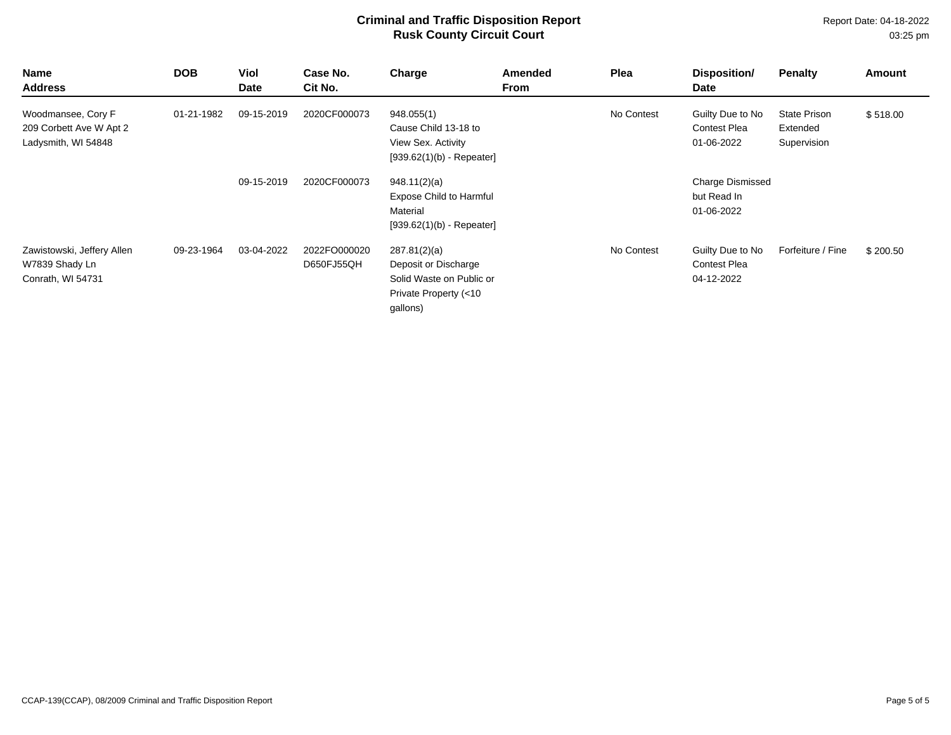| <b>Name</b><br><b>Address</b>                                        | <b>DOB</b> | <b>Viol</b><br>Date | Case No.<br>Cit No.        | Charge                                                                                                | Amended<br>From | Plea       | Disposition/<br>Date                                  | <b>Penalty</b>                                 | Amount   |
|----------------------------------------------------------------------|------------|---------------------|----------------------------|-------------------------------------------------------------------------------------------------------|-----------------|------------|-------------------------------------------------------|------------------------------------------------|----------|
| Woodmansee, Cory F<br>209 Corbett Ave W Apt 2<br>Ladysmith, WI 54848 | 01-21-1982 | 09-15-2019          | 2020CF000073               | 948.055(1)<br>Cause Child 13-18 to<br>View Sex. Activity<br>$[939.62(1)(b) - Repeated]$               |                 | No Contest | Guilty Due to No<br><b>Contest Plea</b><br>01-06-2022 | <b>State Prison</b><br>Extended<br>Supervision | \$518.00 |
|                                                                      |            | 09-15-2019          | 2020CF000073               | 948.11(2)(a)<br><b>Expose Child to Harmful</b><br>Material<br>$[939.62(1)(b) - Repeated]$             |                 |            | <b>Charge Dismissed</b><br>but Read In<br>01-06-2022  |                                                |          |
| Zawistowski, Jeffery Allen<br>W7839 Shady Ln<br>Conrath, WI 54731    | 09-23-1964 | 03-04-2022          | 2022FO000020<br>D650FJ55QH | 287.81(2)(a)<br>Deposit or Discharge<br>Solid Waste on Public or<br>Private Property (<10<br>gallons) |                 | No Contest | Guilty Due to No<br><b>Contest Plea</b><br>04-12-2022 | Forfeiture / Fine                              | \$200.50 |